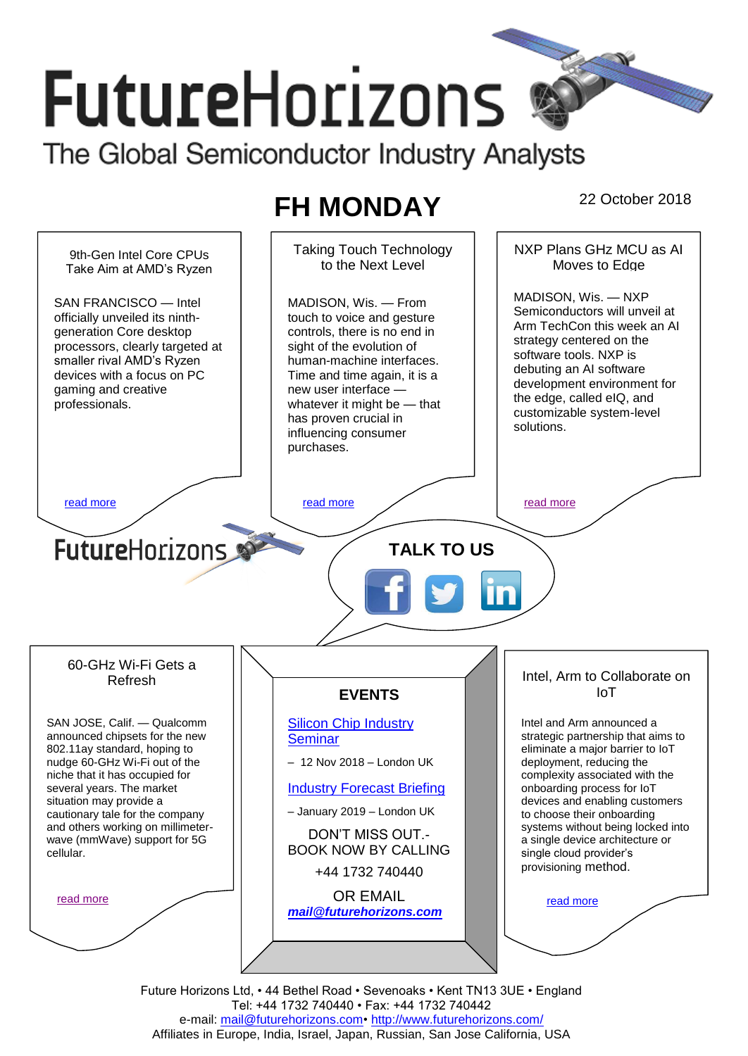# **FutureHorizons**

The Global Semiconductor Industry Analysts

# **FH MONDAY** 22 October 2018

Taking Touch Technology NXP Plans GHz MCU as AI 9th-Gen Intel Core CPUs to the Next Level Moves to Edge Take Aim at AMD's Ryzen MADISON, Wis. — NXP MADISON, Wis. — From SAN FRANCISCO — Intel Semiconductors will unveil at officially unveiled its ninthtouch to voice and gesture Arm TechCon this week an AI generation Core desktop controls, there is no end in strategy centered on the processors, clearly targeted at sight of the evolution of software tools. NXP is smaller rival AMD's Ryzen human-machine interfaces. debuting an AI software devices with a focus on PC Time and time again, it is a development environment for gaming and creative new user interface the edge, called eIQ, and professionals. whatever it might be — that customizable system-level has proven crucial in solutions. influencing consumer purchases. [read more](#page-1-1) that the second contract the read more that the read more in the read more that the read more in the read more **Future**Horizons **TALK TO US** 60-GHz Wi-Fi Gets a Intel, Arm to Collaborate on Refresh IoT **EVENTS** SAN JOSE, Calif. — Qualcomm [Silicon Chip Industry](http://www.futurehorizons.com/page/12/silicon-chip-training)  Intel and Arm announced a announced chipsets for the new strategic partnership that aims to **[Seminar](http://www.futurehorizons.com/page/12/silicon-chip-training)** 802.11ay standard, hoping to eliminate a major barrier to IoT nudge 60-GHz Wi-Fi out of the – 12 Nov 2018 – London UK deployment, reducing the niche that it has occupied for complexity associated with the several years. The market [Industry Forecast Briefing](http://www.futurehorizons.com/page/13/Semiconductor-Market-Forecast-Seminar) onboarding process for IoT situation may provide a devices and enabling customers – January 2019 – London UK to choose their onboarding cautionary tale for the company and others working on millimetersystems without being locked into DON'T MISS OUT. a single device architecture or wave (mmWave) support for 5G BOOK NOW BY CALLING cellular.single cloud provider's provisioning method. +44 1732 740440 OR EMAIL [read more](#page-1-3) [read more](#page-1-4) *[mail@futurehorizons.com](mailto:mail@futurehorizons.com)*

> Future Horizons Ltd, • 44 Bethel Road • Sevenoaks • Kent TN13 3UE • England Tel: +44 1732 740440 • Fax: +44 1732 740442 e-mail: mail@futurehorizons.com• http://www.futurehorizons.com/ Affiliates in Europe, India, Israel, Japan, Russian, San Jose California, USA